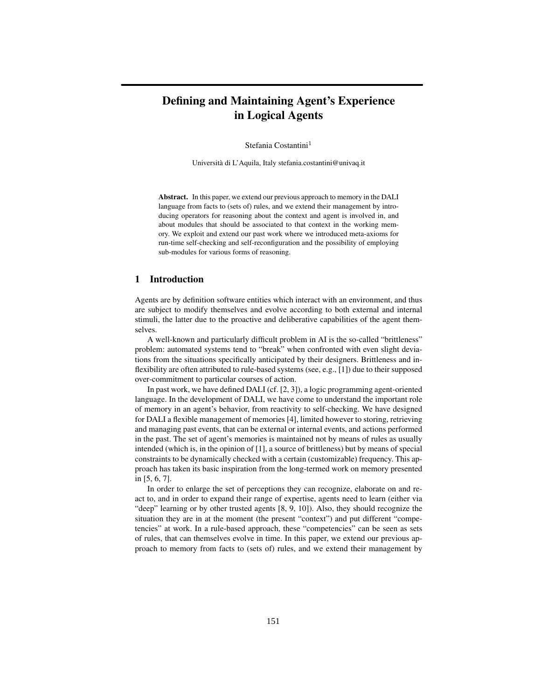# Defining and Maintaining Agent's Experience in Logical Agents

Stefania Costantini<sup>1</sup>

Universita di L'Aquila, Italy stefania.costantini@univaq.it `

Abstract. In this paper, we extend our previous approach to memory in the DALI language from facts to (sets of) rules, and we extend their management by introducing operators for reasoning about the context and agent is involved in, and about modules that should be associated to that context in the working memory. We exploit and extend our past work where we introduced meta-axioms for run-time self-checking and self-reconfiguration and the possibility of employing sub-modules for various forms of reasoning.

### 1 Introduction

Agents are by definition software entities which interact with an environment, and thus are subject to modify themselves and evolve according to both external and internal stimuli, the latter due to the proactive and deliberative capabilities of the agent themselves.

A well-known and particularly difficult problem in AI is the so-called "brittleness" problem: automated systems tend to "break" when confronted with even slight deviations from the situations specifically anticipated by their designers. Brittleness and inflexibility are often attributed to rule-based systems (see, e.g., [1]) due to their supposed over-commitment to particular courses of action.

In past work, we have defined DALI (cf. [2, 3]), a logic programming agent-oriented language. In the development of DALI, we have come to understand the important role of memory in an agent's behavior, from reactivity to self-checking. We have designed for DALI a flexible management of memories [4], limited however to storing, retrieving and managing past events, that can be external or internal events, and actions performed in the past. The set of agent's memories is maintained not by means of rules as usually intended (which is, in the opinion of [1], a source of brittleness) but by means of special constraints to be dynamically checked with a certain (customizable) frequency. This approach has taken its basic inspiration from the long-termed work on memory presented in [5, 6, 7].

In order to enlarge the set of perceptions they can recognize, elaborate on and react to, and in order to expand their range of expertise, agents need to learn (either via "deep" learning or by other trusted agents [8, 9, 10]). Also, they should recognize the situation they are in at the moment (the present "context") and put different "competencies" at work. In a rule-based approach, these "competencies" can be seen as sets of rules, that can themselves evolve in time. In this paper, we extend our previous approach to memory from facts to (sets of) rules, and we extend their management by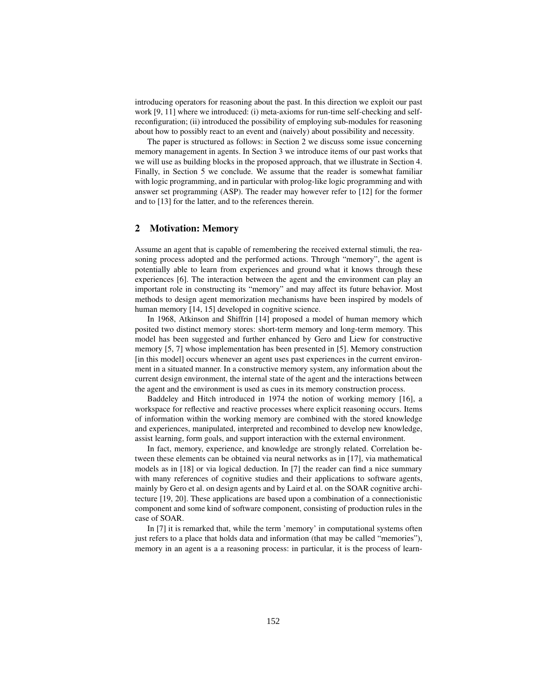introducing operators for reasoning about the past. In this direction we exploit our past work [9, 11] where we introduced: (i) meta-axioms for run-time self-checking and selfreconfiguration; (ii) introduced the possibility of employing sub-modules for reasoning about how to possibly react to an event and (naively) about possibility and necessity.

The paper is structured as follows: in Section 2 we discuss some issue concerning memory management in agents. In Section 3 we introduce items of our past works that we will use as building blocks in the proposed approach, that we illustrate in Section 4. Finally, in Section 5 we conclude. We assume that the reader is somewhat familiar with logic programming, and in particular with prolog-like logic programming and with answer set programming (ASP). The reader may however refer to [12] for the former and to [13] for the latter, and to the references therein.

### 2 Motivation: Memory

Assume an agent that is capable of remembering the received external stimuli, the reasoning process adopted and the performed actions. Through "memory", the agent is potentially able to learn from experiences and ground what it knows through these experiences [6]. The interaction between the agent and the environment can play an important role in constructing its "memory" and may affect its future behavior. Most methods to design agent memorization mechanisms have been inspired by models of human memory [14, 15] developed in cognitive science.

In 1968, Atkinson and Shiffrin [14] proposed a model of human memory which posited two distinct memory stores: short-term memory and long-term memory. This model has been suggested and further enhanced by Gero and Liew for constructive memory [5, 7] whose implementation has been presented in [5]. Memory construction [in this model] occurs whenever an agent uses past experiences in the current environment in a situated manner. In a constructive memory system, any information about the current design environment, the internal state of the agent and the interactions between the agent and the environment is used as cues in its memory construction process.

Baddeley and Hitch introduced in 1974 the notion of working memory [16], a workspace for reflective and reactive processes where explicit reasoning occurs. Items of information within the working memory are combined with the stored knowledge and experiences, manipulated, interpreted and recombined to develop new knowledge, assist learning, form goals, and support interaction with the external environment.

In fact, memory, experience, and knowledge are strongly related. Correlation between these elements can be obtained via neural networks as in [17], via mathematical models as in [18] or via logical deduction. In [7] the reader can find a nice summary with many references of cognitive studies and their applications to software agents, mainly by Gero et al. on design agents and by Laird et al. on the SOAR cognitive architecture [19, 20]. These applications are based upon a combination of a connectionistic component and some kind of software component, consisting of production rules in the case of SOAR.

In [7] it is remarked that, while the term 'memory' in computational systems often just refers to a place that holds data and information (that may be called "memories"), memory in an agent is a a reasoning process: in particular, it is the process of learn-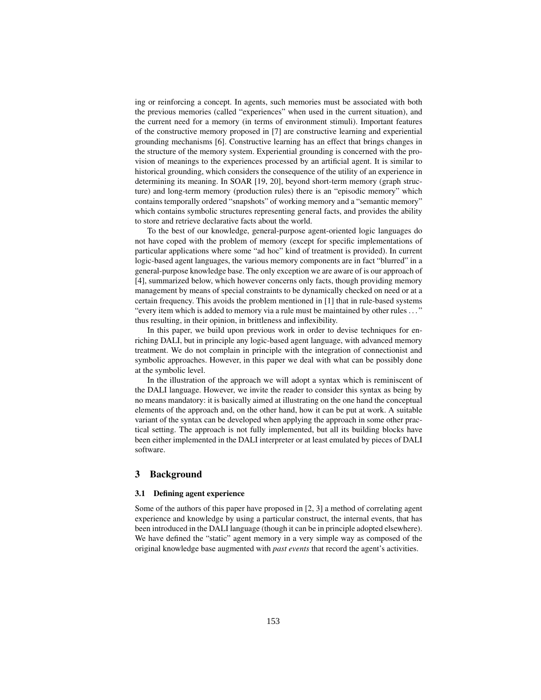ing or reinforcing a concept. In agents, such memories must be associated with both the previous memories (called "experiences" when used in the current situation), and the current need for a memory (in terms of environment stimuli). Important features of the constructive memory proposed in [7] are constructive learning and experiential grounding mechanisms [6]. Constructive learning has an effect that brings changes in the structure of the memory system. Experiential grounding is concerned with the provision of meanings to the experiences processed by an artificial agent. It is similar to historical grounding, which considers the consequence of the utility of an experience in determining its meaning. In SOAR [19, 20], beyond short-term memory (graph structure) and long-term memory (production rules) there is an "episodic memory" which contains temporally ordered "snapshots" of working memory and a "semantic memory" which contains symbolic structures representing general facts, and provides the ability to store and retrieve declarative facts about the world.

To the best of our knowledge, general-purpose agent-oriented logic languages do not have coped with the problem of memory (except for specific implementations of particular applications where some "ad hoc" kind of treatment is provided). In current logic-based agent languages, the various memory components are in fact "blurred" in a general-purpose knowledge base. The only exception we are aware of is our approach of [4], summarized below, which however concerns only facts, though providing memory management by means of special constraints to be dynamically checked on need or at a certain frequency. This avoids the problem mentioned in [1] that in rule-based systems "every item which is added to memory via a rule must be maintained by other rules ..." thus resulting, in their opinion, in brittleness and inflexibility.

In this paper, we build upon previous work in order to devise techniques for enriching DALI, but in principle any logic-based agent language, with advanced memory treatment. We do not complain in principle with the integration of connectionist and symbolic approaches. However, in this paper we deal with what can be possibly done at the symbolic level.

In the illustration of the approach we will adopt a syntax which is reminiscent of the DALI language. However, we invite the reader to consider this syntax as being by no means mandatory: it is basically aimed at illustrating on the one hand the conceptual elements of the approach and, on the other hand, how it can be put at work. A suitable variant of the syntax can be developed when applying the approach in some other practical setting. The approach is not fully implemented, but all its building blocks have been either implemented in the DALI interpreter or at least emulated by pieces of DALI software.

### 3 Background

#### 3.1 Defining agent experience

Some of the authors of this paper have proposed in [2, 3] a method of correlating agent experience and knowledge by using a particular construct, the internal events, that has been introduced in the DALI language (though it can be in principle adopted elsewhere). We have defined the "static" agent memory in a very simple way as composed of the original knowledge base augmented with *past events* that record the agent's activities.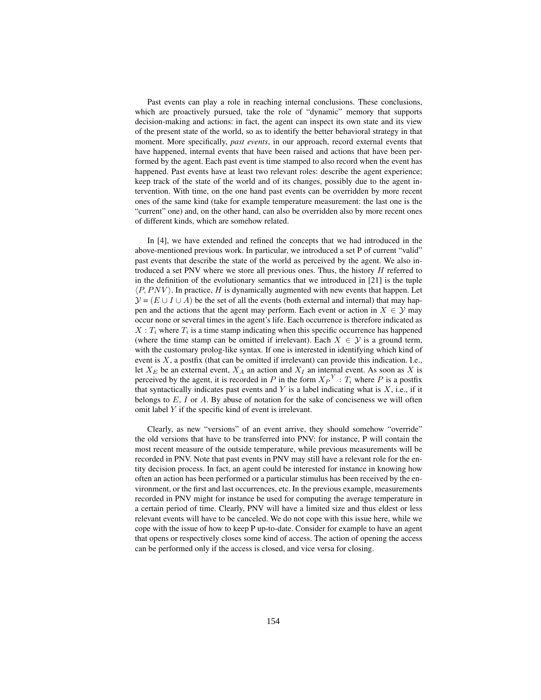Past events can play a role in reaching internal conclusions. These conclusions, which are proactively pursued, take the role of "dynamic" memory that supports decision-making and actions: in fact, the agent can inspect its own state and its view of the present state of the world, so as to identify the better behavioral strategy in that moment. More specifically, *past events*, in our approach, record external events that have happened, internal events that have been raised and actions that have been performed by the agent. Each past event is time stamped to also record when the event has happened. Past events have at least two relevant roles: describe the agent experience; keep track of the state of the world and of its changes, possibly due to the agent intervention. With time, on the one hand past events can be overridden by more recent ones of the same kind (take for example temperature measurement: the last one is the "current" one) and, on the other hand, can also be overridden also by more recent ones of different kinds, which are somehow related.

In [4], we have extended and refined the concepts that we had introduced in the above-mentioned previous work. In particular, we introduced a set P of current "valid" past events that describe the state of the world as perceived by the agent. We also introduced a set PNV where we store all previous ones. Thus, the history  $H$  referred to in the definition of the evolutionary semantics that we introduced in [21] is the tuple  $\langle P, P N V \rangle$ <br> $\mathcal{V} = (E + 1)$  $\langle P, PNV \rangle$ . In practice, H is dynamically augmented with new events that happen. Let  $\mathcal{Y} = (E \cup I \cup A)$  be the set of all the events (both external and internal) that may hap-<br>pen and the actions that the agent may perform. Each event or action in  $X \in \mathcal{Y}$  may pen and the actions that the agent may perform. Each event or action in  $X \in \mathcal{Y}$  may occur none or several times in the agent's life. Each occurrence is therefore indicated as  $X: T_i$  where  $T_i$  is a time stamp indicating when this specific occurrence has happened (where the time stamp can be omitted if irrelevant). Each  $X \in \mathcal{Y}$  is a ground term, with the customary prolog-like syntax. If one is interested in identifying which kind of event is  $X$ , a postfix (that can be omitted if irrelevant) can provide this indication. I.e., let  $X_E$  be an external event,  $X_A$  an action and  $X_I$  an internal event. As soon as X is perceived by the agent, it is recorded in P in the form  $X_P^Y : T_i$  where P is a postfix that syntactically indicates past events and Y is a label indicating what is  $X$ , i.e., if it belongs to  $E$ , I or A. By abuse of notation for the sake of conciseness we will often omit label Y if the specific kind of event is irrelevant.

Clearly, as new "versions" of an event arrive, they should somehow "override" the old versions that have to be transferred into PNV: for instance, P will contain the most recent measure of the outside temperature, while previous measurements will be recorded in PNV. Note that past events in PNV may still have a relevant role for the entity decision process. In fact, an agent could be interested for instance in knowing how often an action has been performed or a particular stimulus has been received by the environment, or the first and last occurrences, etc. In the previous example, measurements recorded in PNV might for instance be used for computing the average temperature in a certain period of time. Clearly, PNV will have a limited size and thus eldest or less relevant events will have to be canceled. We do not cope with this issue here, while we cope with the issue of how to keep P up-to-date. Consider for example to have an agent that opens or respectively closes some kind of access. The action of opening the access can be performed only if the access is closed, and vice versa for closing.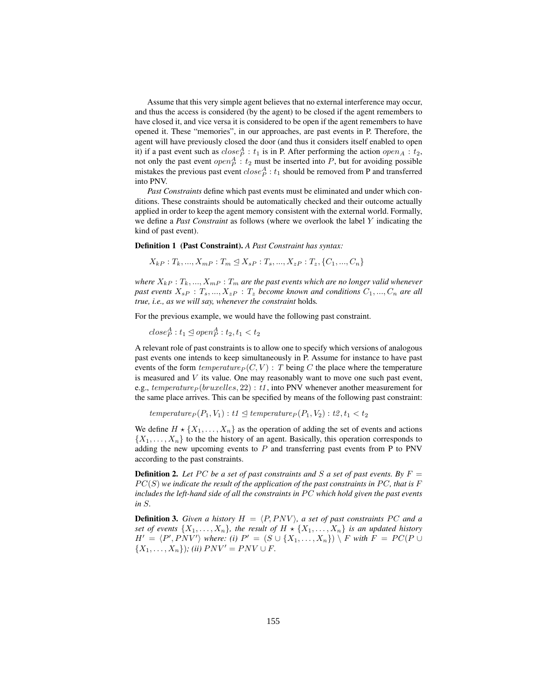Assume that this very simple agent believes that no external interference may occur, and thus the access is considered (by the agent) to be closed if the agent remembers to have closed it, and vice versa it is considered to be open if the agent remembers to have opened it. These "memories", in our approaches, are past events in P. Therefore, the agent will have previously closed the door (and thus it considers itself enabled to open it) if a past event such as  $close_P^A : t_1$  is in P. After performing the action  $open_A : t_2$ ,<br>not only the past event *open*<sup>A</sup> : t<sub>2</sub> must be inserted into P, but for avoiding possible not only the past event  $open<sub>P</sub><sup>A</sup>$ :  $t<sub>2</sub>$  must be inserted into P, but for avoiding possible mistakes the previous past event  $close<sup>A</sup> \cdot t<sub>2</sub>$  should be removed from P and transferred mistakes the previous past event  $close_p^A : t_1$  should be removed from P and transferred<br>into PNV into PNV.

*Past Constraints* define which past events must be eliminated and under which conditions. These constraints should be automatically checked and their outcome actually applied in order to keep the agent memory consistent with the external world. Formally, we define a *Past Constraint* as follows (where we overlook the label Y indicating the kind of past event).

Definition 1 (Past Constraint). *A Past Constraint has syntax:*

 $X_{kP}$ :  $T_k$ , ...,  $X_{mP}$ :  $T_m \trianglelefteq X_{sP}$ :  $T_s$ , ...,  $X_{zP}$ :  $T_z$ , { $C_1$ , ...,  $C_n$ }

*where*  $X_{kP}$ :  $T_k$ , ...,  $X_{mP}$ :  $T_m$  *are the past events which are no longer valid whenever* past events  $X_{sP}$ :  $T_s$ , ...,  $X_{zP}$ :  $T_z$  *become known and conditions*  $C_1$ , ...,  $C_n$  *are all true, i.e., as we will say, whenever the constraint* holds*.*

For the previous example, we would have the following past constraint.

 $close_P^A: t_1 \trianglelefteq open_P^A: t_2, t_1 < t_2$ 

A relevant role of past constraints is to allow one to specify which versions of analogous past events one intends to keep simultaneously in P. Assume for instance to have past events of the form  $temperature_P (C, V)$ : T being C the place where the temperature is measured and  $V$  its value. One may reasonably want to move one such past event, e.g.,  $temperature_P (bruxelles, 22) : t1$ , into PNV whenever another measurement for the same place arrives. This can be specified by means of the following past constraint:

```
temperature<sub>P</sub>(P_1, V_1): t1 \trianglelefteq temperature<sub>P</sub>(P_1, V_2): t2, t<sub>1</sub> < t<sub>2</sub>
```
We define  $H \star \{X_1,\ldots,X_n\}$  as the operation of adding the set of events and actions  $\{X_1,\ldots,X_n\}$  to the the history of an agent. Basically, this operation corresponds to adding the new upcoming events to  $P$  and transferring past events from  $P$  to PNV according to the past constraints.

**Definition 2.** Let PC be a set of past constraints and S a set of past events. By  $F =$  $PC(S)$  we indicate the result of the application of the past constraints in  $PC$ , that is  $F$ *includes the left-hand side of all the constraints in PC which hold given the past events in* S*.*

**Definition 3.** Given a history  $H = \langle P, PNV \rangle$ , a set of past constraints PC and a<br>set of events  $\{X, \ldots, X\}$  the result of  $H + \{X, \ldots, X\}$  is an undated history *set of events*  $\{X_1, \ldots, X_n\}$ *, the result of*  $H \star \{X_1, \ldots, X_n\}$  *is an updated history*  $H' = \langle P', PNV' \rangle$  where: (i)  $P' = (S \cup \{X_1, \ldots, X_n\}) \setminus F$  with  $F = PC(P \cup Y$  $\{X_1, \ldots, X_n\}$ ; *(ii)*  $PNV' = PNV \cup F$ .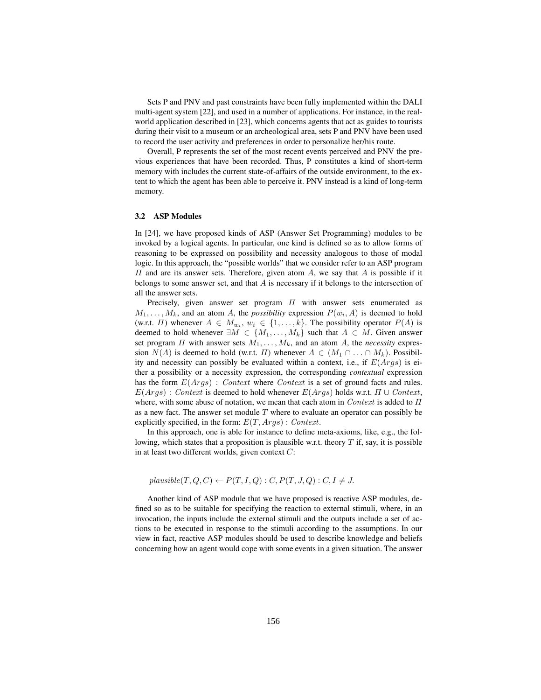Sets P and PNV and past constraints have been fully implemented within the DALI multi-agent system [22], and used in a number of applications. For instance, in the realworld application described in [23], which concerns agents that act as guides to tourists during their visit to a museum or an archeological area, sets P and PNV have been used to record the user activity and preferences in order to personalize her/his route.

Overall, P represents the set of the most recent events perceived and PNV the previous experiences that have been recorded. Thus, P constitutes a kind of short-term memory with includes the current state-of-affairs of the outside environment, to the extent to which the agent has been able to perceive it. PNV instead is a kind of long-term memory.

#### 3.2 ASP Modules

In [24], we have proposed kinds of ASP (Answer Set Programming) modules to be invoked by a logical agents. In particular, one kind is defined so as to allow forms of reasoning to be expressed on possibility and necessity analogous to those of modal logic. In this approach, the "possible worlds" that we consider refer to an ASP program  $\Pi$  and are its answer sets. Therefore, given atom  $A$ , we say that  $A$  is possible if it belongs to some answer set, and that  $A$  is necessary if it belongs to the intersection of all the answer sets.

Precisely, given answer set program  $\Pi$  with answer sets enumerated as  $M_1, \ldots, M_k$ , and an atom A, the *possibility* expression  $P(w_i, A)$  is deemed to hold (w.r.t.  $\Pi$ ) whenever  $A \in M_{w_i}$ ,  $w_i \in \{1, \ldots, k\}$ . The possibility operator  $P(A)$  is deemed to hold whenever  $\exists M \in \{M_1, \ldots, M_k\}$  such that  $A \in M$ . Given answer set program  $\Pi$  with answer sets  $M_1, \ldots, M_k$ , and an atom A, the *necessity* expression  $N(A)$  is deemed to hold (w.r.t.  $\Pi$ ) whenever  $A \in (M_1 \cap \ldots \cap M_k)$ . Possibility and necessity can possibly be evaluated within a context, i.e., if  $E(Args)$  is either a possibility or a necessity expression, the corresponding *contextual* expression has the form  $E(Arqs)$ : Context where Context is a set of ground facts and rules.  $E(Arqs)$ : Context is deemed to hold whenever  $E(Arqs)$  holds w.r.t.  $\Pi \cup Context$ , where, with some abuse of notation, we mean that each atom in  $Context$  is added to  $\Pi$ as a new fact. The answer set module  $T$  where to evaluate an operator can possibly be explicitly specified, in the form:  $E(T, Args)$ : Context.

In this approach, one is able for instance to define meta-axioms, like, e.g., the following, which states that a proposition is plausible w.r.t. theory  $T$  if, say, it is possible in at least two different worlds, given context  $C$ :

$$
plausible(T, Q, C) \leftarrow P(T, I, Q) : C, P(T, J, Q) : C, I \neq J.
$$

Another kind of ASP module that we have proposed is reactive ASP modules, defined so as to be suitable for specifying the reaction to external stimuli, where, in an invocation, the inputs include the external stimuli and the outputs include a set of actions to be executed in response to the stimuli according to the assumptions. In our view in fact, reactive ASP modules should be used to describe knowledge and beliefs concerning how an agent would cope with some events in a given situation. The answer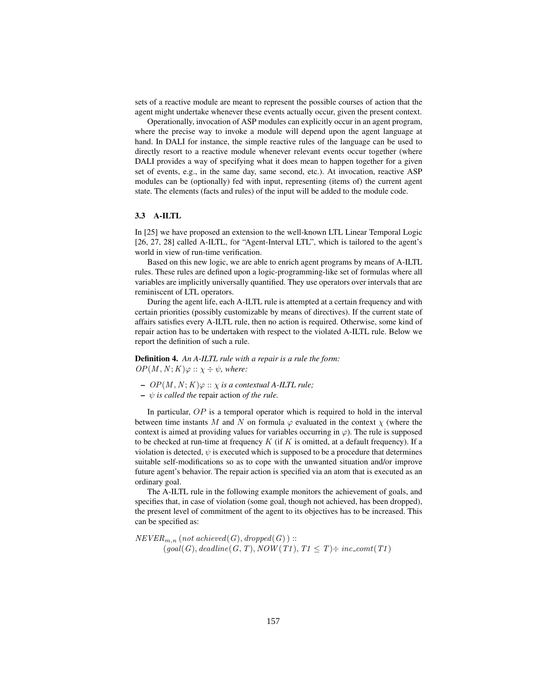sets of a reactive module are meant to represent the possible courses of action that the agent might undertake whenever these events actually occur, given the present context.

Operationally, invocation of ASP modules can explicitly occur in an agent program, where the precise way to invoke a module will depend upon the agent language at hand. In DALI for instance, the simple reactive rules of the language can be used to directly resort to a reactive module whenever relevant events occur together (where DALI provides a way of specifying what it does mean to happen together for a given set of events, e.g., in the same day, same second, etc.). At invocation, reactive ASP modules can be (optionally) fed with input, representing (items of) the current agent state. The elements (facts and rules) of the input will be added to the module code.

# 3.3 A-ILTL

In [25] we have proposed an extension to the well-known LTL Linear Temporal Logic [26, 27, 28] called A-ILTL, for "Agent-Interval LTL", which is tailored to the agent's world in view of run-time verification.

Based on this new logic, we are able to enrich agent programs by means of A-ILTL rules. These rules are defined upon a logic-programming-like set of formulas where all variables are implicitly universally quantified. They use operators over intervals that are reminiscent of LTL operators.

During the agent life, each A-ILTL rule is attempted at a certain frequency and with certain priorities (possibly customizable by means of directives). If the current state of affairs satisfies every A-ILTL rule, then no action is required. Otherwise, some kind of repair action has to be undertaken with respect to the violated A-ILTL rule. Below we report the definition of such a rule.

Definition 4. *An A-ILTL rule with a repair is a rule the form:*  $OP(M, N; K) \varphi :: \chi \div \psi$ , where:

- $-OP(M, N; K) \varphi :: \chi$  *is a contextual A-ILTL rule*;
- $\psi$  *is called the* repair action *of the rule.*

In particular,  $OP$  is a temporal operator which is required to hold in the interval between time instants M and N on formula  $\varphi$  evaluated in the context  $\chi$  (where the context is aimed at providing values for variables occurring in  $\varphi$ ). The rule is supposed to be checked at run-time at frequency  $K$  (if  $K$  is omitted, at a default frequency). If a violation is detected,  $\psi$  is executed which is supposed to be a procedure that determines suitable self-modifications so as to cope with the unwanted situation and/or improve future agent's behavior. The repair action is specified via an atom that is executed as an ordinary goal.

The A-ILTL rule in the following example monitors the achievement of goals, and specifies that, in case of violation (some goal, though not achieved, has been dropped), the present level of commitment of the agent to its objectives has to be increased. This can be specified as:

 $NEVER_{m,n}$  (not achieved(G), dropped(G)) ::  $(goal(G), deadline(G, T), NOW(T1), T1 \leq T) \div inc_{\mathcal{L}}(TT)$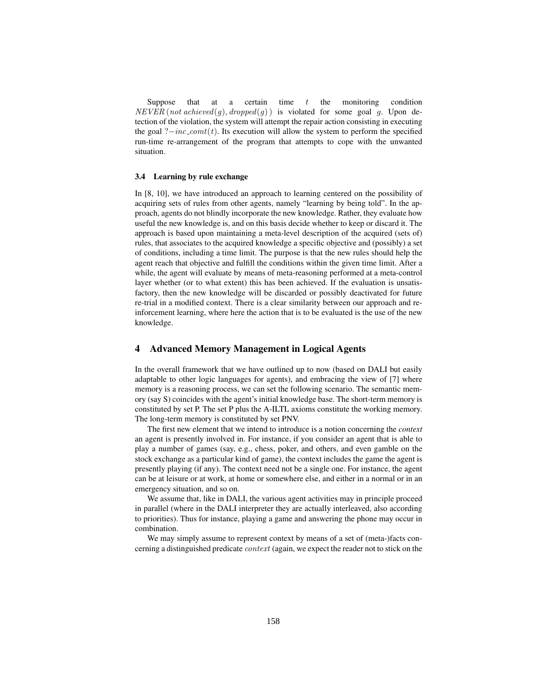Suppose that at a certain time t the monitoring condition  $VER$  (not achieved a) dropped(a)) is violated for some soal a Upon de- $NEVER \text{ (not achieved (g), dropped (g))}$  is violated for some goal g. Upon detection of the violation the system will attempt the repair action consisting in executing tection of the violation, the system will attempt the repair action consisting in executing the goal ? $-inc\_cont(t)$ . Its execution will allow the system to perform the specified run-time re-arrangement of the program that attempts to cope with the unwanted situation.

### 3.4 Learning by rule exchange

In [8, 10], we have introduced an approach to learning centered on the possibility of acquiring sets of rules from other agents, namely "learning by being told". In the approach, agents do not blindly incorporate the new knowledge. Rather, they evaluate how useful the new knowledge is, and on this basis decide whether to keep or discard it. The approach is based upon maintaining a meta-level description of the acquired (sets of) rules, that associates to the acquired knowledge a specific objective and (possibly) a set of conditions, including a time limit. The purpose is that the new rules should help the agent reach that objective and fulfill the conditions within the given time limit. After a while, the agent will evaluate by means of meta-reasoning performed at a meta-control layer whether (or to what extent) this has been achieved. If the evaluation is unsatisfactory, then the new knowledge will be discarded or possibly deactivated for future re-trial in a modified context. There is a clear similarity between our approach and reinforcement learning, where here the action that is to be evaluated is the use of the new knowledge.

## 4 Advanced Memory Management in Logical Agents

In the overall framework that we have outlined up to now (based on DALI but easily adaptable to other logic languages for agents), and embracing the view of [7] where memory is a reasoning process, we can set the following scenario. The semantic memory (say S) coincides with the agent's initial knowledge base. The short-term memory is constituted by set P. The set P plus the A-ILTL axioms constitute the working memory. The long-term memory is constituted by set PNV.

The first new element that we intend to introduce is a notion concerning the *context* an agent is presently involved in. For instance, if you consider an agent that is able to play a number of games (say, e.g., chess, poker, and others, and even gamble on the stock exchange as a particular kind of game), the context includes the game the agent is presently playing (if any). The context need not be a single one. For instance, the agent can be at leisure or at work, at home or somewhere else, and either in a normal or in an emergency situation, and so on.

We assume that, like in DALI, the various agent activities may in principle proceed in parallel (where in the DALI interpreter they are actually interleaved, also according to priorities). Thus for instance, playing a game and answering the phone may occur in combination.

We may simply assume to represent context by means of a set of (meta-)facts concerning a distinguished predicate *context* (again, we expect the reader not to stick on the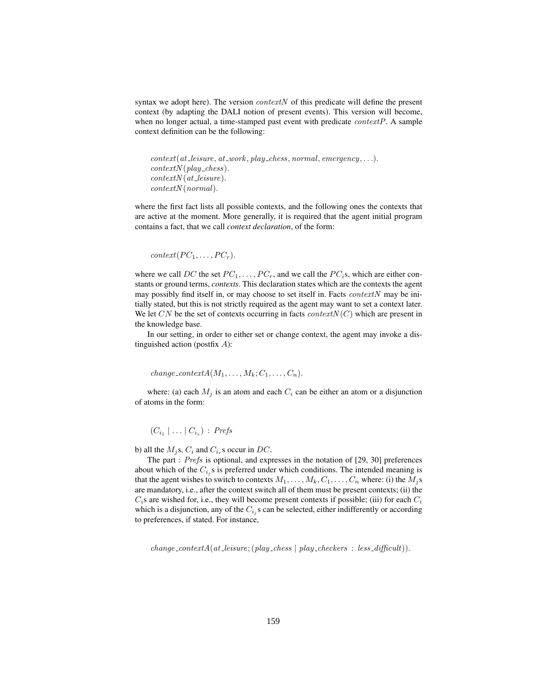syntax we adopt here). The version  $contextN$  of this predicate will define the present context (by adapting the DALI notion of present events). This version will become, when no longer actual, a time-stamped past event with predicate  $contextP$ . A sample context definition can be the following:

```
context(at\_leisure, at\_work, play\_chess, normal, emergency, ...).contextN(play\_chess).contextN(at\_leisure).contextN (normal).
```
where the first fact lists all possible contexts, and the following ones the contexts that are active at the moment. More generally, it is required that the agent initial program contains a fact, that we call *context declaration*, of the form:

```
context(PC_1, \ldots, PC_r).
```
where we call DC the set  $PC_1, \ldots, PC_r$ , and we call the  $PC_i$ s, which are either constants or ground terms, *contexts*. This declaration states which are the contexts the agent may possibly find itself in, or may choose to set itself in. Facts *contextN* may be initially stated, but this is not strictly required as the agent may want to set a context later. We let CN be the set of contexts occurring in facts *contextN(C)* which are present in the knowledge base.

In our setting, in order to either set or change context, the agent may invoke a distinguished action (postfix  $A$ ):

```
change_contextA(M_1,\ldots,M_k;C_1,\ldots,C_n).
```
where: (a) each  $M_i$  is an atom and each  $C_i$  can be either an atom or a disjunction of atoms in the form:

 $(C_{i_1} | \ldots | C_{i_s})$  : Prefs

b) all the  $M_i$ s,  $C_i$  and  $C_{i_n}$ s occur in DC.

The part : Prefs is optional, and expresses in the notation of [29, 30] preferences about which of the  $C_{i,j}$ s is preferred under which conditions. The intended meaning is that the agent wishes to switch to contexts  $M_1, \ldots, M_k, C_1, \ldots, C_n$  where: (i) the  $M_j$ s are mandatory, i.e., after the context switch all of them must be present contexts; (ii) the  $C_i$ s are wished for, i.e., they will become present contexts if possible; (iii) for each  $C_i$ which is a disjunction, any of the  $C_{i,j}$ s can be selected, either indifferently or according to preferences, if stated. For instance,

 $change\_contextA(at\_leisure; (play\_chess | play\_chckers : less\_difficult)).$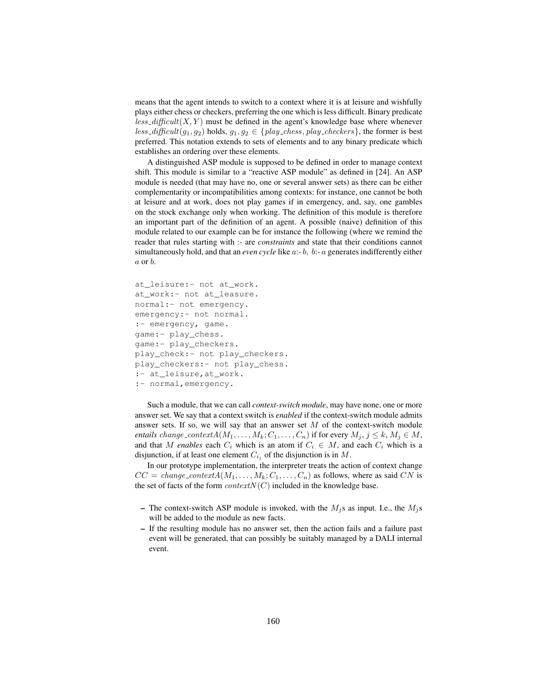means that the agent intends to switch to a context where it is at leisure and wishfully plays either chess or checkers, preferring the one which is less difficult. Binary predicate  $less\_difficult(X, Y)$  must be defined in the agent's knowledge base where whenever less\_difficult(g<sub>1</sub>, g<sub>2</sub>) holds,  $g_1, g_2 \in \{play\_chess, play\_chckers\}$ , the former is best preferred. This notation extends to sets of elements and to any binary predicate which establishes an ordering over these elements.

A distinguished ASP module is supposed to be defined in order to manage context shift. This module is similar to a "reactive ASP module" as defined in [24]. An ASP module is needed (that may have no, one or several answer sets) as there can be either complementarity or incompatibilities among contexts: for instance, one cannot be both at leisure and at work, does not play games if in emergency, and, say, one gambles on the stock exchange only when working. The definition of this module is therefore an important part of the definition of an agent. A possible (naive) definition of this module related to our example can be for instance the following (where we remind the reader that rules starting with :- are *constraints* and state that their conditions cannot simultaneously hold, and that an *even cycle* like a:- b, b:- a generates indifferently either a or b.

```
at_leisure:- not at_work.<br>at_work:- not at_leasure.
normal:- not emergency.
emergency:- not normal.
:- emergency, game.
game:- play_chess.
game:- play_checkers.
play_check:- not play_checkers.
play_checkers:- not play_chess.
:- at_leisure, at_work.
: - \frac{1}{\sqrt{2}} at \frac{1}{\sqrt{2}} at \frac{1}{\sqrt{2}} at \frac{1}{\sqrt{2}} at \frac{1}{\sqrt{2}} at \frac{1}{\sqrt{2}} at \frac{1}{\sqrt{2}} at \frac{1}{\sqrt{2}} at \frac{1}{\sqrt{2}} at \frac{1}{\sqrt{2}} at \frac{1}{\sqrt{2}} at \frac{1}{\sqrt{2}} at \frac{1}{\sqrt{2}} at \frac{1}{\:- normal, \frac{1}{2}.
```
Such a module, that we can call *context-switch module*, may have none, one or more answer set. We say that a context switch is *enabled* if the context-switch module admits answer sets. If so, we will say that an answer set  $M$  of the context-switch module *entails* change\_context $A(M_1, \ldots, M_k; C_1, \ldots, C_n)$  if for every  $M_j, j \leq k, M_j \in M$ , and that M *enables* each  $C_i$  which is an atom if  $C_i \in M$ , and each  $C_i$  which is a disjunction, if at least one element  $C_{i_j}$  of the disjunction is in M.

In our prototype implementation, the interpreter treats the action of context change  $CC = change\_contextA(M_1, \ldots, M_k; C_1, \ldots, C_n)$  as follows, where as said CN is the set of facts of the form  $contextN(C)$  included in the knowledge base.

- The context-switch ASP module is invoked, with the  $M_i$ s as input. I.e., the  $M_i$ s will be added to the module as new facts.
- If the resulting module has no answer set, then the action fails and a failure past event will be generated, that can possibly be suitably managed by a DALI internal event.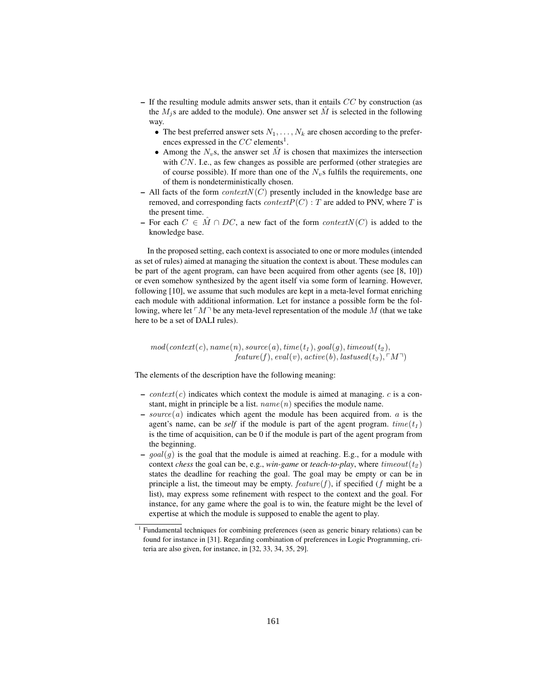- $-$  If the resulting module admits answer sets, than it entails  $CC$  by construction (as the  $M_i$ s are added to the module). One answer set  $\hat{M}$  is selected in the following way.
	- The best preferred answer sets  $N_1, \ldots, N_k$  are chosen according to the preferences expressed in the  $CC$  elements<sup>1</sup>.
	- Among the  $N_v$ s, the answer set  $\hat{M}$  is chosen that maximizes the intersection with CN. I.e., as few changes as possible are performed (other strategies are of course possible). If more than one of the  $N_v$ s fulfils the requirements, one of them is nondeterministically chosen.
- All facts of the form  $contextN(C)$  presently included in the knowledge base are removed, and corresponding facts *context* $P(C)$ : T are added to PNV, where T is the present time.
- For each  $C \in \tilde{M} \cap DC$ , a new fact of the form context $N(C)$  is added to the knowledge base.

In the proposed setting, each context is associated to one or more modules (intended as set of rules) aimed at managing the situation the context is about. These modules can be part of the agent program, can have been acquired from other agents (see [8, 10]) or even somehow synthesized by the agent itself via some form of learning. However, following [10], we assume that such modules are kept in a meta-level format enriching each module with additional information. Let for instance a possible form be the following, where let  $\ulcorner M \urcorner$  be any meta-level representation of the module M (that we take here to be a set of DALI rules) here to be a set of DALI rules).

 $\text{mod}(context(c), name(n), source(a), time(t_1), goal(g), timeout(t_2),$  $feature(f), eval(v), active(b), last used(t_3), \ulcorner M \urcorner)$ 

The elements of the description have the following meaning:

- context(c) indicates which context the module is aimed at managing. c is a constant, might in principle be a list.  $name(n)$  specifies the module name.
- $-source(a)$  indicates which agent the module has been acquired from. a is the agent's name, can be *self* if the module is part of the agent program.  $time(t_1)$ is the time of acquisition, can be 0 if the module is part of the agent program from the beginning.
- $goal(g)$  is the goal that the module is aimed at reaching. E.g., for a module with context *chess* the goal can be, e.g., *win-game* or *teach-to-play*, where  $timeout(t_2)$ states the deadline for reaching the goal. The goal may be empty or can be in principle a list, the timeout may be empty.  $feature(f)$ , if specified (f might be a list), may express some refinement with respect to the context and the goal. For instance, for any game where the goal is to win, the feature might be the level of expertise at which the module is supposed to enable the agent to play.

<sup>1</sup> Fundamental techniques for combining preferences (seen as generic binary relations) can be found for instance in [31]. Regarding combination of preferences in Logic Programming, criteria are also given, for instance, in [32, 33, 34, 35, 29].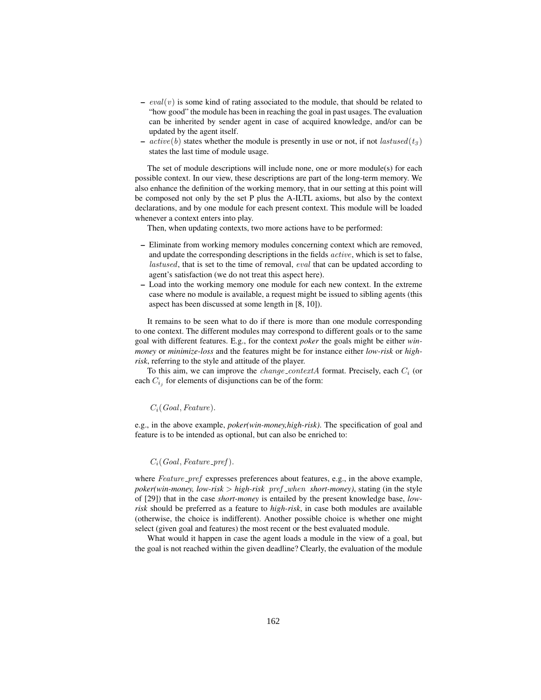- $eval(v)$  is some kind of rating associated to the module, that should be related to "how good" the module has been in reaching the goal in past usages. The evaluation can be inherited by sender agent in case of acquired knowledge, and/or can be updated by the agent itself.
- $active(b)$  states whether the module is presently in use or not, if not lastused(t<sub>3</sub>) states the last time of module usage.

The set of module descriptions will include none, one or more module(s) for each possible context. In our view, these descriptions are part of the long-term memory. We also enhance the definition of the working memory, that in our setting at this point will be composed not only by the set P plus the A-ILTL axioms, but also by the context declarations, and by one module for each present context. This module will be loaded whenever a context enters into play.

Then, when updating contexts, two more actions have to be performed:

- Eliminate from working memory modules concerning context which are removed, and update the corresponding descriptions in the fields active, which is set to false, lastused, that is set to the time of removal, *eval* that can be updated according to agent's satisfaction (we do not treat this aspect here).
- Load into the working memory one module for each new context. In the extreme case where no module is available, a request might be issued to sibling agents (this aspect has been discussed at some length in [8, 10]).

It remains to be seen what to do if there is more than one module corresponding to one context. The different modules may correspond to different goals or to the same goal with different features. E.g., for the context *poker* the goals might be either *winmoney* or *minimize-loss* and the features might be for instance either *low-risk* or *highrisk*, referring to the style and attitude of the player.

To this aim, we can improve the  $change\_contextA$  format. Precisely, each  $C_i$  (or each  $C_{i,j}$  for elements of disjunctions can be of the form:

#### $C_i(Goal, Feature).$

e.g., in the above example, *poker(win-money,high-risk)*. The specification of goal and feature is to be intended as optional, but can also be enriched to:

#### $C_i(Goal, Feature\_pref).$

where  $Feature\_pref$  expresses preferences about features, e.g., in the above example,  $poker(win{\text -}money, low{\text -}risk>high{\text -}risk-pref{\text -}when short{\text -}money)$ , stating (in the style of [29]) that in the case *short-money* is entailed by the present knowledge base, *lowrisk* should be preferred as a feature to *high-risk*, in case both modules are available (otherwise, the choice is indifferent). Another possible choice is whether one might select (given goal and features) the most recent or the best evaluated module.

What would it happen in case the agent loads a module in the view of a goal, but the goal is not reached within the given deadline? Clearly, the evaluation of the module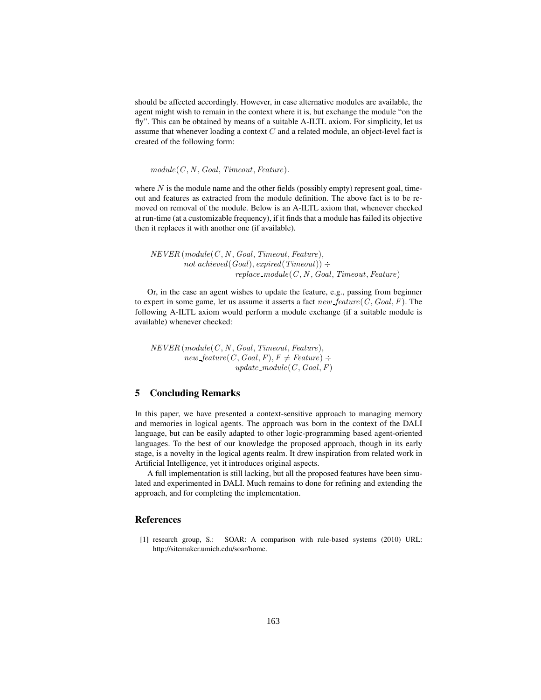should be affected accordingly. However, in case alternative modules are available, the agent might wish to remain in the context where it is, but exchange the module "on the fly". This can be obtained by means of a suitable A-ILTL axiom. For simplicity, let us assume that whenever loading a context  $C$  and a related module, an object-level fact is created of the following form:

 $module(C, N, Goal, Timeout, Feature).$ 

where  $N$  is the module name and the other fields (possibly empty) represent goal, timeout and features as extracted from the module definition. The above fact is to be removed on removal of the module. Below is an A-ILTL axiom that, whenever checked at run-time (at a customizable frequency), if it finds that a module has failed its objective then it replaces it with another one (if available).

 $NEVER$  (module( $C, N, Goal, Timeout, Feature$ ), not achieved(Goal), expired(Timeout))  $\div$  $replace\_module(C, N, Goal, Timeout, Feature)$ 

Or, in the case an agent wishes to update the feature, e.g., passing from beginner to expert in some game, let us assume it asserts a fact  $new\_feature(C, Goal, F)$ . The following A-ILTL axiom would perform a module exchange (if a suitable module is available) whenever checked:

 $NEVER$  (module( $C, N, Goal, Timeout, Feature$ ),  $new_f$ eature $(C, Goal, F), F \neq Feature$ ) ÷ update\_module( $C$ , Goal,  $F$ )

# 5 Concluding Remarks

In this paper, we have presented a context-sensitive approach to managing memory and memories in logical agents. The approach was born in the context of the DALI language, but can be easily adapted to other logic-programming based agent-oriented languages. To the best of our knowledge the proposed approach, though in its early stage, is a novelty in the logical agents realm. It drew inspiration from related work in Artificial Intelligence, yet it introduces original aspects.

A full implementation is still lacking, but all the proposed features have been simulated and experimented in DALI. Much remains to done for refining and extending the approach, and for completing the implementation.

## References

[1] research group, S.: SOAR: A comparison with rule-based systems (2010) URL: http://sitemaker.umich.edu/soar/home.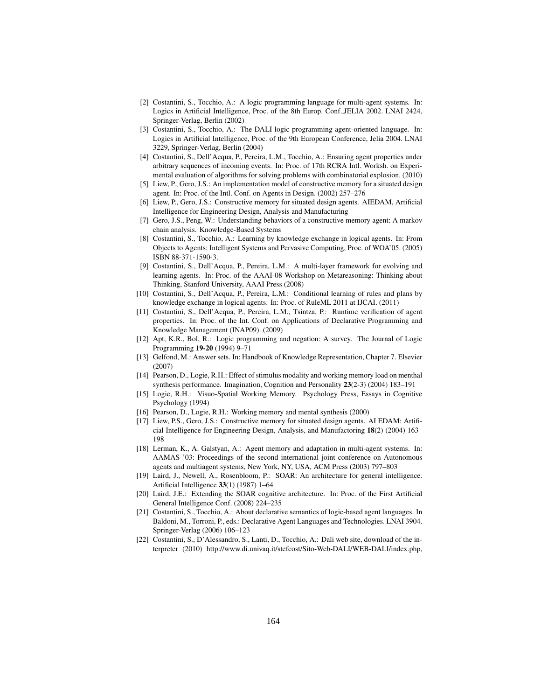- [2] Costantini, S., Tocchio, A.: A logic programming language for multi-agent systems. In: Logics in Artificial Intelligence, Proc. of the 8th Europ. Conf.,JELIA 2002. LNAI 2424, Springer-Verlag, Berlin (2002)
- [3] Costantini, S., Tocchio, A.: The DALI logic programming agent-oriented language. In: Logics in Artificial Intelligence, Proc. of the 9th European Conference, Jelia 2004. LNAI 3229, Springer-Verlag, Berlin (2004)
- [4] Costantini, S., Dell'Acqua, P., Pereira, L.M., Tocchio, A.: Ensuring agent properties under arbitrary sequences of incoming events. In: Proc. of 17th RCRA Intl. Worksh. on Experimental evaluation of algorithms for solving problems with combinatorial explosion. (2010)
- [5] Liew, P., Gero, J.S.: An implementation model of constructive memory for a situated design agent. In: Proc. of the Intl. Conf. on Agents in Design. (2002) 257–276
- [6] Liew, P., Gero, J.S.: Constructive memory for situated design agents. AIEDAM, Artificial Intelligence for Engineering Design, Analysis and Manufacturing
- [7] Gero, J.S., Peng, W.: Understanding behaviors of a constructive memory agent: A markov chain analysis. Knowledge-Based Systems
- [8] Costantini, S., Tocchio, A.: Learning by knowledge exchange in logical agents. In: From Objects to Agents: Intelligent Systems and Pervasive Computing, Proc. of WOA'05. (2005) ISBN 88-371-1590-3.
- [9] Costantini, S., Dell'Acqua, P., Pereira, L.M.: A multi-layer framework for evolving and learning agents. In: Proc. of the AAAI-08 Workshop on Metareasoning: Thinking about Thinking, Stanford University, AAAI Press (2008)
- [10] Costantini, S., Dell'Acqua, P., Pereira, L.M.: Conditional learning of rules and plans by knowledge exchange in logical agents. In: Proc. of RuleML 2011 at IJCAI. (2011)
- [11] Costantini, S., Dell'Acqua, P., Pereira, L.M., Tsintza, P.: Runtime verification of agent properties. In: Proc. of the Int. Conf. on Applications of Declarative Programming and Knowledge Management (INAP09). (2009)
- [12] Apt, K.R., Bol, R.: Logic programming and negation: A survey. The Journal of Logic Programming 19-20 (1994) 9–71
- [13] Gelfond, M.: Answer sets. In: Handbook of Knowledge Representation, Chapter 7. Elsevier (2007)
- [14] Pearson, D., Logie, R.H.: Effect of stimulus modality and working memory load on menthal synthesis performance. Imagination, Cognition and Personality 23(2-3) (2004) 183–191
- [15] Logie, R.H.: Visuo-Spatial Working Memory. Psychology Press, Essays in Cognitive Psychology (1994)
- [16] Pearson, D., Logie, R.H.: Working memory and mental synthesis (2000)
- [17] Liew, P.S., Gero, J.S.: Constructive memory for situated design agents. AI EDAM: Artificial Intelligence for Engineering Design, Analysis, and Manufactoring 18(2) (2004) 163– 198
- [18] Lerman, K., A. Galstyan, A.: Agent memory and adaptation in multi-agent systems. In: AAMAS '03: Proceedings of the second international joint conference on Autonomous agents and multiagent systems, New York, NY, USA, ACM Press (2003) 797–803
- [19] Laird, J., Newell, A., Rosenbloom, P.: SOAR: An architecture for general intelligence. Artificial Intelligence 33(1) (1987) 1–64
- [20] Laird, J.E.: Extending the SOAR cognitive architecture. In: Proc. of the First Artificial General Intelligence Conf. (2008) 224–235
- [21] Costantini, S., Tocchio, A.: About declarative semantics of logic-based agent languages. In Baldoni, M., Torroni, P., eds.: Declarative Agent Languages and Technologies. LNAI 3904. Springer-Verlag (2006) 106–123
- [22] Costantini, S., D'Alessandro, S., Lanti, D., Tocchio, A.: Dali web site, download of the interpreter (2010) http://www.di.univaq.it/stefcost/Sito-Web-DALI/WEB-DALI/index.php,